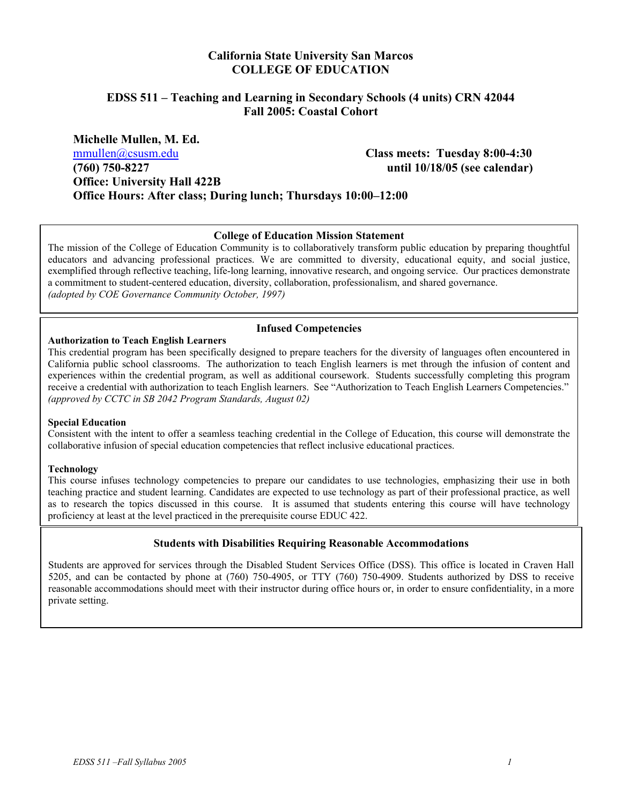#### **California State University San Marcos COLLEGE OF EDUCATION**

#### **EDSS 511 – Teaching and Learning in Secondary Schools (4 units) CRN 42044 Fall 2005: Coastal Cohort**

**Michelle Mullen, M. Ed.**  mmullen@csusm.edu **Class meets: Tuesday 8:00-4:30 (760) 750-8227 until 10/18/05 (see calendar) Office: University Hall 422B Office Hours: After class; During lunch; Thursdays 10:00–12:00** 

#### **College of Education Mission Statement**

The mission of the College of Education Community is to collaboratively transform public education by preparing thoughtful educators and advancing professional practices. We are committed to diversity, educational equity, and social justice, exemplified through reflective teaching, life-long learning, innovative research, and ongoing service. Our practices demonstrate a commitment to student-centered education, diversity, collaboration, professionalism, and shared governance. *(adopted by COE Governance Community October, 1997)*

#### **Infused Competencies**

#### **Authorization to Teach English Learners**

This credential program has been specifically designed to prepare teachers for the diversity of languages often encountered in California public school classrooms. The authorization to teach English learners is met through the infusion of content and experiences within the credential program, as well as additional coursework. Students successfully completing this program receive a credential with authorization to teach English learners. See "Authorization to Teach English Learners Competencies." *(approved by CCTC in SB 2042 Program Standards, August 02)* 

#### **Special Education**

Consistent with the intent to offer a seamless teaching credential in the College of Education, this course will demonstrate the collaborative infusion of special education competencies that reflect inclusive educational practices.

#### **Technology**

This course infuses technology competencies to prepare our candidates to use technologies, emphasizing their use in both teaching practice and student learning. Candidates are expected to use technology as part of their professional practice, as well as to research the topics discussed in this course. It is assumed that students entering this course will have technology proficiency at least at the level practiced in the prerequisite course EDUC 422.

#### **Students with Disabilities Requiring Reasonable Accommodations**

Students are approved for services through the Disabled Student Services Office (DSS). This office is located in Craven Hall 5205, and can be contacted by phone at (760) 750-4905, or TTY (760) 750-4909. Students authorized by DSS to receive reasonable accommodations should meet with their instructor during office hours or, in order to ensure confidentiality, in a more private setting.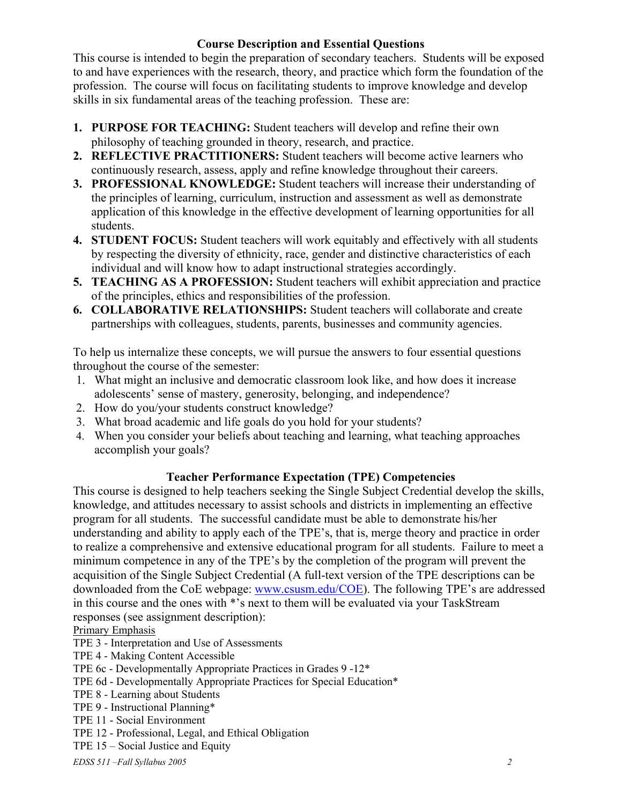#### **Course Description and Essential Questions**

This course is intended to begin the preparation of secondary teachers. Students will be exposed to and have experiences with the research, theory, and practice which form the foundation of the profession. The course will focus on facilitating students to improve knowledge and develop skills in six fundamental areas of the teaching profession. These are:

- **1. PURPOSE FOR TEACHING:** Student teachers will develop and refine their own philosophy of teaching grounded in theory, research, and practice.
- **2. REFLECTIVE PRACTITIONERS:** Student teachers will become active learners who continuously research, assess, apply and refine knowledge throughout their careers.
- **3. PROFESSIONAL KNOWLEDGE:** Student teachers will increase their understanding of the principles of learning, curriculum, instruction and assessment as well as demonstrate application of this knowledge in the effective development of learning opportunities for all students.
- **4. STUDENT FOCUS:** Student teachers will work equitably and effectively with all students by respecting the diversity of ethnicity, race, gender and distinctive characteristics of each individual and will know how to adapt instructional strategies accordingly.
- **5. TEACHING AS A PROFESSION:** Student teachers will exhibit appreciation and practice of the principles, ethics and responsibilities of the profession.
- **6. COLLABORATIVE RELATIONSHIPS:** Student teachers will collaborate and create partnerships with colleagues, students, parents, businesses and community agencies.

To help us internalize these concepts, we will pursue the answers to four essential questions throughout the course of the semester:

- 1. What might an inclusive and democratic classroom look like, and how does it increase adolescents' sense of mastery, generosity, belonging, and independence?
- 2. How do you/your students construct knowledge?
- 3. What broad academic and life goals do you hold for your students?
- 4. When you consider your beliefs about teaching and learning, what teaching approaches accomplish your goals?

#### **Teacher Performance Expectation (TPE) Competencies**

This course is designed to help teachers seeking the Single Subject Credential develop the skills, knowledge, and attitudes necessary to assist schools and districts in implementing an effective program for all students. The successful candidate must be able to demonstrate his/her understanding and ability to apply each of the TPE's, that is, merge theory and practice in order to realize a comprehensive and extensive educational program for all students. Failure to meet a minimum competence in any of the TPE's by the completion of the program will prevent the acquisition of the Single Subject Credential (A full-text version of the TPE descriptions can be downloaded from the CoE webpage: www.csusm.edu/COE). The following TPE's are addressed in this course and the ones with \*'s next to them will be evaluated via your TaskStream responses (see assignment description):

Primary Emphasis

- TPE 3 Interpretation and Use of Assessments
- TPE 4 Making Content Accessible
- TPE 6c Developmentally Appropriate Practices in Grades 9 -12\*
- TPE 6d Developmentally Appropriate Practices for Special Education\*
- TPE 8 Learning about Students
- TPE 9 Instructional Planning\*
- TPE 11 Social Environment
- TPE 12 Professional, Legal, and Ethical Obligation
- TPE 15 Social Justice and Equity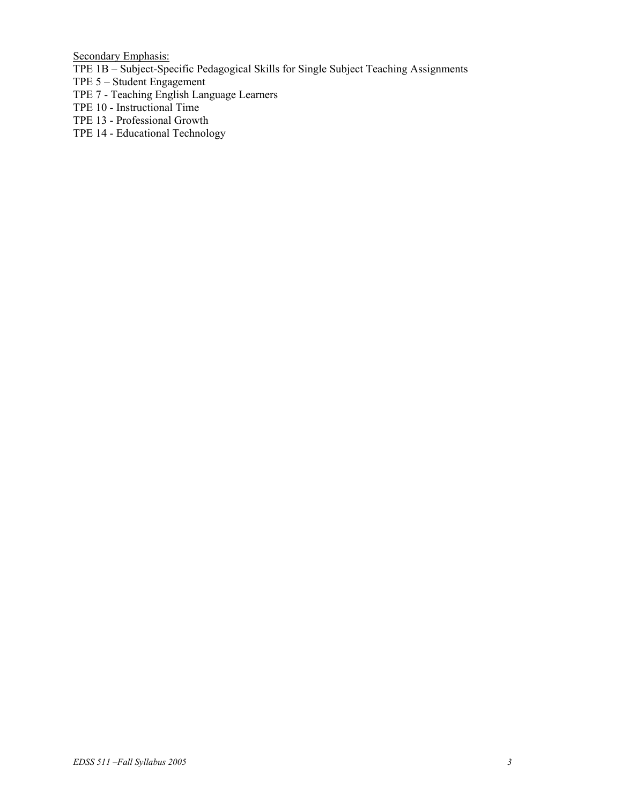Secondary Emphasis:

- TPE 1B Subject-Specific Pedagogical Skills for Single Subject Teaching Assignments
- TPE 5 Student Engagement
- TPE 7 Teaching English Language Learners
- TPE 10 Instructional Time
- TPE 13 Professional Growth
- TPE 14 Educational Technology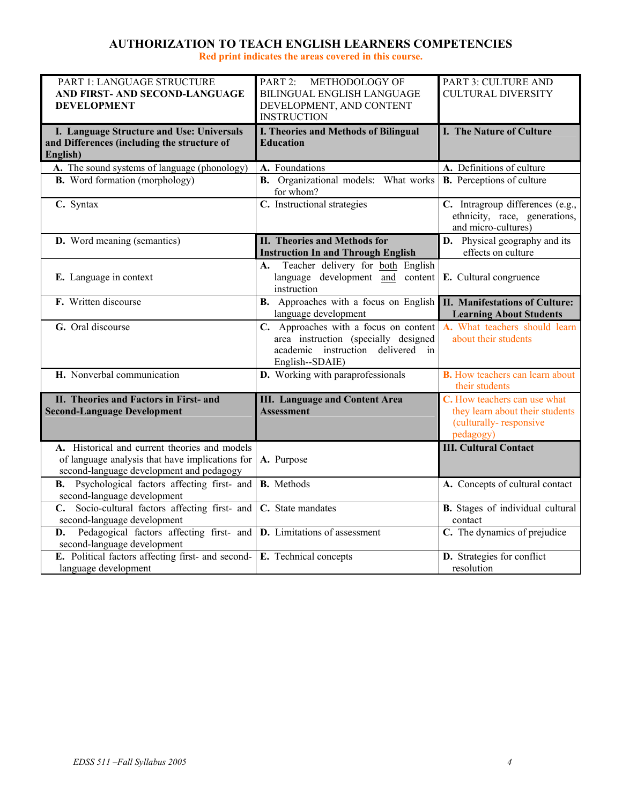#### **AUTHORIZATION TO TEACH ENGLISH LEARNERS COMPETENCIES**

**Red print indicates the areas covered in this course.** 

| PART 1: LANGUAGE STRUCTURE<br>AND FIRST- AND SECOND-LANGUAGE<br><b>DEVELOPMENT</b>                                                           | PART 2: METHODOLOGY OF<br>BILINGUAL ENGLISH LANGUAGE<br>DEVELOPMENT, AND CONTENT                                                      | PART 3: CULTURE AND<br><b>CULTURAL DIVERSITY</b>                                                       |
|----------------------------------------------------------------------------------------------------------------------------------------------|---------------------------------------------------------------------------------------------------------------------------------------|--------------------------------------------------------------------------------------------------------|
|                                                                                                                                              | <b>INSTRUCTION</b>                                                                                                                    |                                                                                                        |
| I. Language Structure and Use: Universals<br>and Differences (including the structure of<br>English)                                         | <b>I. Theories and Methods of Bilingual</b><br><b>Education</b>                                                                       | I. The Nature of Culture                                                                               |
| A. The sound systems of language (phonology)                                                                                                 | A. Foundations                                                                                                                        | A. Definitions of culture                                                                              |
| <b>B.</b> Word formation (morphology)                                                                                                        | <b>B.</b> Organizational models: What works<br>for whom?                                                                              | <b>B.</b> Perceptions of culture                                                                       |
| C. Syntax                                                                                                                                    | C. Instructional strategies                                                                                                           | C. Intragroup differences (e.g.,<br>ethnicity, race, generations,<br>and micro-cultures)               |
| D. Word meaning (semantics)                                                                                                                  | II. Theories and Methods for<br><b>Instruction In and Through English</b>                                                             | <b>D.</b> Physical geography and its<br>effects on culture                                             |
| E. Language in context                                                                                                                       | Teacher delivery for both English<br>A.<br>language development and content<br>instruction                                            | E. Cultural congruence                                                                                 |
| F. Written discourse                                                                                                                         | <b>B.</b> Approaches with a focus on English<br>language development                                                                  | <b>II. Manifestations of Culture:</b><br><b>Learning About Students</b>                                |
| G. Oral discourse                                                                                                                            | C. Approaches with a focus on content<br>area instruction (specially designed<br>academic instruction delivered in<br>English--SDAIE) | A. What teachers should learn<br>about their students                                                  |
| H. Nonverbal communication                                                                                                                   | D. Working with paraprofessionals                                                                                                     | <b>B.</b> How teachers can learn about<br>their students                                               |
| II. Theories and Factors in First- and<br><b>Second-Language Development</b>                                                                 | <b>III.</b> Language and Content Area<br><b>Assessment</b>                                                                            | C. How teachers can use what<br>they learn about their students<br>(culturally-responsive<br>pedagogy) |
| A. Historical and current theories and models<br>of language analysis that have implications for<br>second-language development and pedagogy | A. Purpose                                                                                                                            | <b>III. Cultural Contact</b>                                                                           |
| <b>B.</b> Psychological factors affecting first- and<br>second-language development                                                          | <b>B.</b> Methods                                                                                                                     | A. Concepts of cultural contact                                                                        |
| C. Socio-cultural factors affecting first- and<br>second-language development                                                                | C. State mandates                                                                                                                     | <b>B.</b> Stages of individual cultural<br>contact                                                     |
| Pedagogical factors affecting first- and <b>D.</b> Limitations of assessment<br>D.<br>second-language development                            |                                                                                                                                       | C. The dynamics of prejudice                                                                           |
| E. Political factors affecting first- and second-<br>language development                                                                    | E. Technical concepts                                                                                                                 | <b>D.</b> Strategies for conflict<br>resolution                                                        |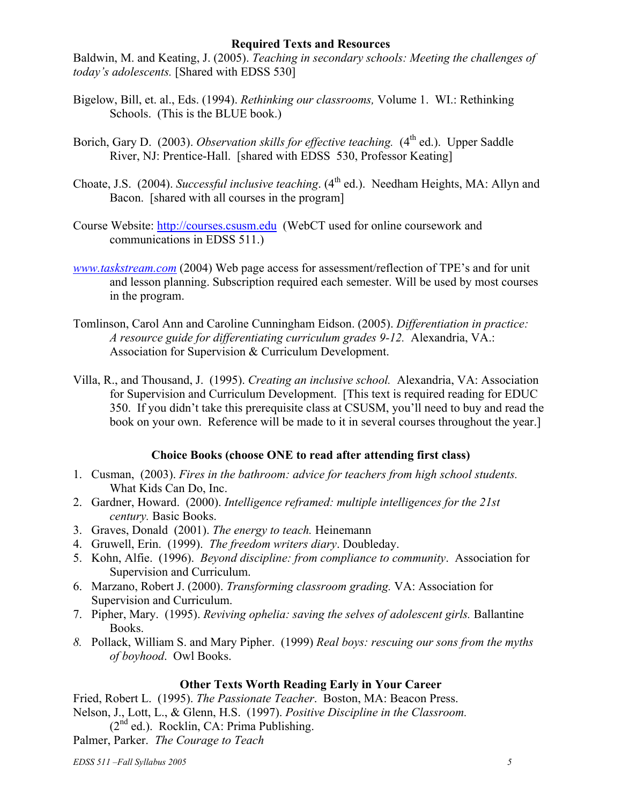#### **Required Texts and Resources**

Baldwin, M. and Keating, J. (2005). *Teaching in secondary schools: Meeting the challenges of today's adolescents.* [Shared with EDSS 530]

- Bigelow, Bill, et. al., Eds. (1994). *Rethinking our classrooms,* Volume 1. WI.: Rethinking Schools. (This is the BLUE book.)
- Borich, Gary D. (2003). *Observation skills for effective teaching.* (4<sup>th</sup> ed.). Upper Saddle River, NJ: Prentice-Hall. [shared with EDSS 530, Professor Keating]
- Choate, J.S. (2004). *Successful inclusive teaching*. (4<sup>th</sup> ed.). Needham Heights, MA: Allyn and Bacon. [shared with all courses in the program]
- Course Website: http://courses.csusm.edu (WebCT used for online coursework and communications in EDSS 511.)
- *www.taskstream.com* (2004) Web page access for assessment/reflection of TPE's and for unit and lesson planning. Subscription required each semester. Will be used by most courses in the program.
- Tomlinson, Carol Ann and Caroline Cunningham Eidson. (2005). *Differentiation in practice: A resource guide for differentiating curriculum grades 9-12.* Alexandria, VA.: Association for Supervision & Curriculum Development.
- Villa, R., and Thousand, J. (1995). *Creating an inclusive school.* Alexandria, VA: Association for Supervision and Curriculum Development. [This text is required reading for EDUC 350. If you didn't take this prerequisite class at CSUSM, you'll need to buy and read the book on your own. Reference will be made to it in several courses throughout the year.]

### **Choice Books (choose ONE to read after attending first class)**

- 1. Cusman, (2003). *Fires in the bathroom: advice for teachers from high school students.* What Kids Can Do, Inc.
- 2. Gardner, Howard. (2000). *Intelligence reframed: multiple intelligences for the 21st century.* Basic Books.
- 3. Graves, Donald (2001). *The energy to teach.* Heinemann
- 4. Gruwell, Erin. (1999). *The freedom writers diary*. Doubleday.
- 5. Kohn, Alfie. (1996). *Beyond discipline: from compliance to community*. Association for Supervision and Curriculum.
- 6. Marzano, Robert J. (2000). *Transforming classroom grading.* VA: Association for Supervision and Curriculum.
- 7. Pipher, Mary. (1995). *Reviving ophelia: saving the selves of adolescent girls.* Ballantine Books.
- *8.* Pollack, William S. and Mary Pipher. (1999) *Real boys: rescuing our sons from the myths of boyhood*. Owl Books.

#### **Other Texts Worth Reading Early in Your Career**

Fried, Robert L. (1995). *The Passionate Teacher*. Boston, MA: Beacon Press. Nelson, J., Lott, L., & Glenn, H.S. (1997). *Positive Discipline in the Classroom.*  $(2<sup>nd</sup>$  ed.). Rocklin, CA: Prima Publishing.

Palmer, Parker. *The Courage to Teach*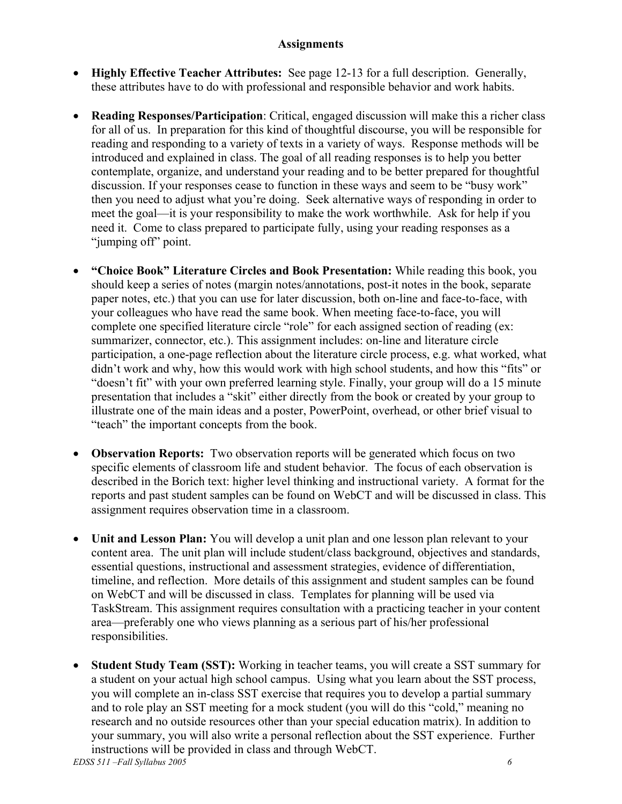#### **Assignments**

- **Highly Effective Teacher Attributes:** See page 12-13 for a full description. Generally, these attributes have to do with professional and responsible behavior and work habits.
- **Reading Responses/Participation**: Critical, engaged discussion will make this a richer class for all of us. In preparation for this kind of thoughtful discourse, you will be responsible for reading and responding to a variety of texts in a variety of ways. Response methods will be introduced and explained in class. The goal of all reading responses is to help you better contemplate, organize, and understand your reading and to be better prepared for thoughtful discussion. If your responses cease to function in these ways and seem to be "busy work" then you need to adjust what you're doing. Seek alternative ways of responding in order to meet the goal—it is your responsibility to make the work worthwhile. Ask for help if you need it. Come to class prepared to participate fully, using your reading responses as a "jumping off" point.
- **"Choice Book" Literature Circles and Book Presentation:** While reading this book, you should keep a series of notes (margin notes/annotations, post-it notes in the book, separate paper notes, etc.) that you can use for later discussion, both on-line and face-to-face, with your colleagues who have read the same book. When meeting face-to-face, you will complete one specified literature circle "role" for each assigned section of reading (ex: summarizer, connector, etc.). This assignment includes: on-line and literature circle participation, a one-page reflection about the literature circle process, e.g. what worked, what didn't work and why, how this would work with high school students, and how this "fits" or "doesn't fit" with your own preferred learning style. Finally, your group will do a 15 minute presentation that includes a "skit" either directly from the book or created by your group to illustrate one of the main ideas and a poster, PowerPoint, overhead, or other brief visual to "teach" the important concepts from the book.
- **Observation Reports:** Two observation reports will be generated which focus on two specific elements of classroom life and student behavior. The focus of each observation is described in the Borich text: higher level thinking and instructional variety. A format for the reports and past student samples can be found on WebCT and will be discussed in class. This assignment requires observation time in a classroom.
- **Unit and Lesson Plan:** You will develop a unit plan and one lesson plan relevant to your content area. The unit plan will include student/class background, objectives and standards, essential questions, instructional and assessment strategies, evidence of differentiation, timeline, and reflection. More details of this assignment and student samples can be found on WebCT and will be discussed in class. Templates for planning will be used via TaskStream. This assignment requires consultation with a practicing teacher in your content area—preferably one who views planning as a serious part of his/her professional responsibilities.
- **Student Study Team (SST):** Working in teacher teams, you will create a SST summary for a student on your actual high school campus. Using what you learn about the SST process, you will complete an in-class SST exercise that requires you to develop a partial summary and to role play an SST meeting for a mock student (you will do this "cold," meaning no research and no outside resources other than your special education matrix). In addition to your summary, you will also write a personal reflection about the SST experience. Further instructions will be provided in class and through WebCT.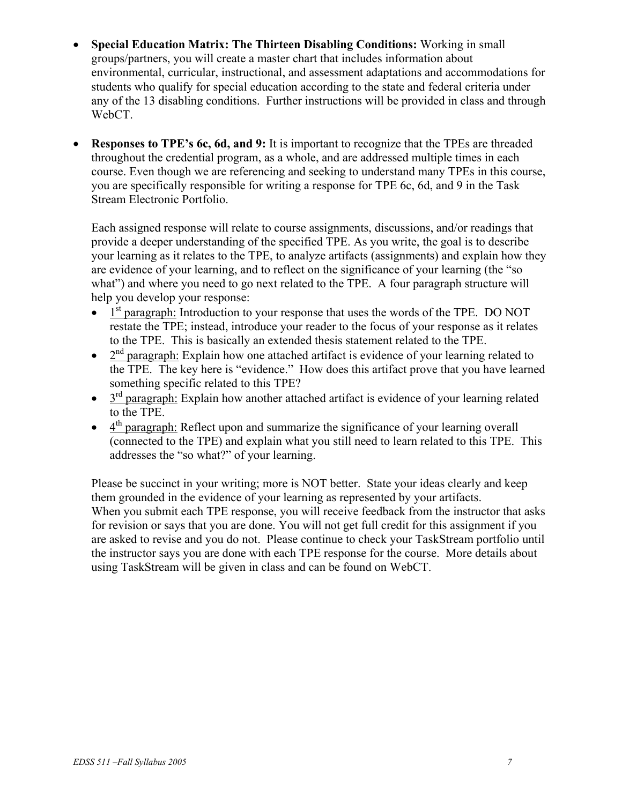- **Special Education Matrix: The Thirteen Disabling Conditions:** Working in small groups/partners, you will create a master chart that includes information about environmental, curricular, instructional, and assessment adaptations and accommodations for students who qualify for special education according to the state and federal criteria under any of the 13 disabling conditions. Further instructions will be provided in class and through WebCT.
- **Responses to TPE's 6c, 6d, and 9:** It is important to recognize that the TPEs are threaded throughout the credential program, as a whole, and are addressed multiple times in each course. Even though we are referencing and seeking to understand many TPEs in this course, you are specifically responsible for writing a response for TPE 6c, 6d, and 9 in the Task Stream Electronic Portfolio.

Each assigned response will relate to course assignments, discussions, and/or readings that provide a deeper understanding of the specified TPE. As you write, the goal is to describe your learning as it relates to the TPE, to analyze artifacts (assignments) and explain how they are evidence of your learning, and to reflect on the significance of your learning (the "so what") and where you need to go next related to the TPE. A four paragraph structure will help you develop your response:

- $\bullet$  1<sup>st</sup> paragraph: Introduction to your response that uses the words of the TPE. DO NOT restate the TPE; instead, introduce your reader to the focus of your response as it relates to the TPE. This is basically an extended thesis statement related to the TPE.
- $2<sup>nd</sup>$  paragraph: Explain how one attached artifact is evidence of your learning related to the TPE. The key here is "evidence." How does this artifact prove that you have learned something specific related to this TPE?
- $\bullet$  3<sup>rd</sup> paragraph: Explain how another attached artifact is evidence of your learning related to the TPE.
- $\bullet$  4<sup>th</sup> paragraph: Reflect upon and summarize the significance of your learning overall (connected to the TPE) and explain what you still need to learn related to this TPE. This addresses the "so what?" of your learning.

Please be succinct in your writing; more is NOT better. State your ideas clearly and keep them grounded in the evidence of your learning as represented by your artifacts. When you submit each TPE response, you will receive feedback from the instructor that asks for revision or says that you are done. You will not get full credit for this assignment if you are asked to revise and you do not. Please continue to check your TaskStream portfolio until the instructor says you are done with each TPE response for the course. More details about using TaskStream will be given in class and can be found on WebCT.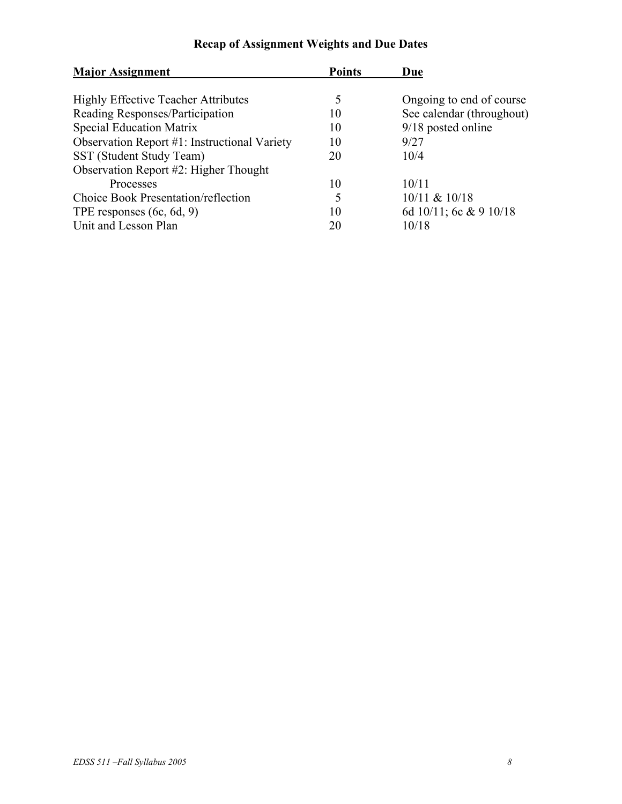| <b>Major Assignment</b>                      | <b>Points</b> | Due                       |  |  |
|----------------------------------------------|---------------|---------------------------|--|--|
|                                              |               |                           |  |  |
| <b>Highly Effective Teacher Attributes</b>   | 5             | Ongoing to end of course  |  |  |
| Reading Responses/Participation              | 10            | See calendar (throughout) |  |  |
| <b>Special Education Matrix</b>              | 10            | $9/18$ posted online      |  |  |
| Observation Report #1: Instructional Variety | 10            | 9/27                      |  |  |
| SST (Student Study Team)                     | 20            | 10/4                      |  |  |
| Observation Report #2: Higher Thought        |               |                           |  |  |
| Processes                                    | 10            | 10/11                     |  |  |
| Choice Book Presentation/reflection          | 5             | 10/11 & 10/18             |  |  |
| TPE responses $(6c, 6d, 9)$                  | 10            | 6d 10/11; 6c & 9 10/18    |  |  |
| Unit and Lesson Plan                         | 20            | 10/18                     |  |  |

### **Recap of Assignment Weights and Due Dates**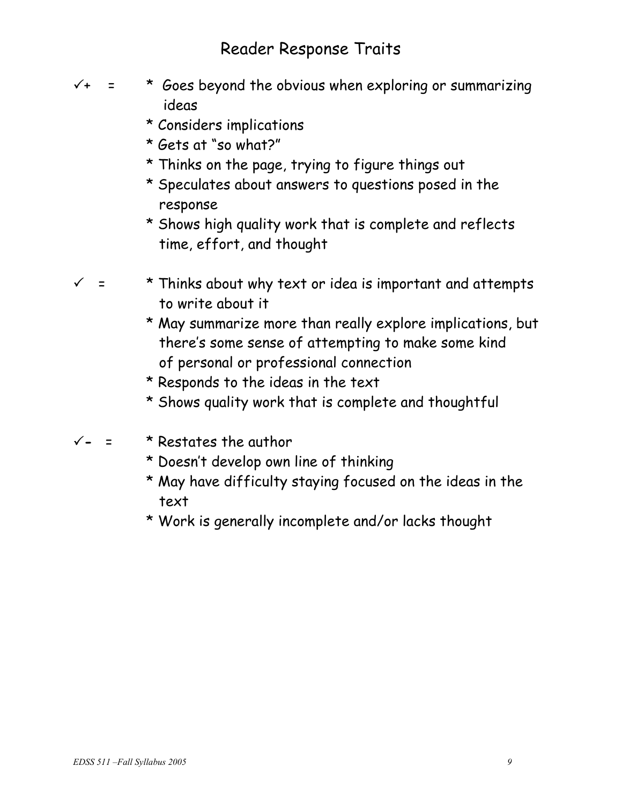## Reader Response Traits

- 
- $\sqrt{4}$  =  $*$  Goes beyond the obvious when exploring or summarizing ideas
	- \* Considers implications
	- \* Gets at "so what?"
	- \* Thinks on the page, trying to figure things out
	- \* Speculates about answers to questions posed in the response
	- \* Shows high quality work that is complete and reflects time, effort, and thought
- $\checkmark$  = \* Thinks about why text or idea is important and attempts to write about it
	- \* May summarize more than really explore implications, but there's some sense of attempting to make some kind of personal or professional connection
	- \* Responds to the ideas in the text
	- \* Shows quality work that is complete and thoughtful
- 3**-** = \* Restates the author
	- \* Doesn't develop own line of thinking
	- \* May have difficulty staying focused on the ideas in the text
	- \* Work is generally incomplete and/or lacks thought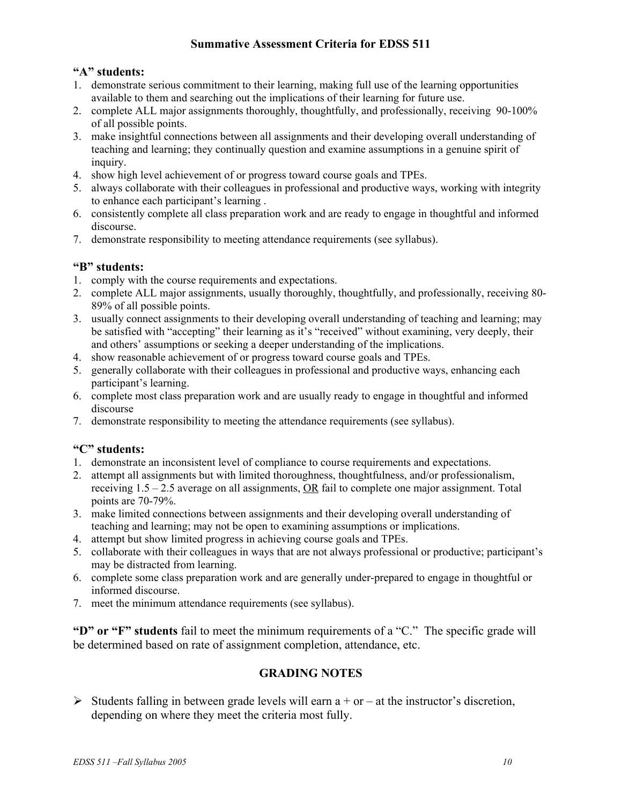#### **Summative Assessment Criteria for EDSS 511**

#### **"A" students:**

- 1. demonstrate serious commitment to their learning, making full use of the learning opportunities available to them and searching out the implications of their learning for future use.
- 2. complete ALL major assignments thoroughly, thoughtfully, and professionally, receiving 90-100% of all possible points.
- 3. make insightful connections between all assignments and their developing overall understanding of teaching and learning; they continually question and examine assumptions in a genuine spirit of inquiry.
- 4. show high level achievement of or progress toward course goals and TPEs.
- 5. always collaborate with their colleagues in professional and productive ways, working with integrity to enhance each participant's learning .
- 6. consistently complete all class preparation work and are ready to engage in thoughtful and informed discourse.
- 7. demonstrate responsibility to meeting attendance requirements (see syllabus).

#### **"B" students:**

- 1. comply with the course requirements and expectations.
- 2. complete ALL major assignments, usually thoroughly, thoughtfully, and professionally, receiving 80- 89% of all possible points.
- 3. usually connect assignments to their developing overall understanding of teaching and learning; may be satisfied with "accepting" their learning as it's "received" without examining, very deeply, their and others' assumptions or seeking a deeper understanding of the implications.
- 4. show reasonable achievement of or progress toward course goals and TPEs.
- 5. generally collaborate with their colleagues in professional and productive ways, enhancing each participant's learning.
- 6. complete most class preparation work and are usually ready to engage in thoughtful and informed discourse
- 7. demonstrate responsibility to meeting the attendance requirements (see syllabus).

#### **"C" students:**

- 1. demonstrate an inconsistent level of compliance to course requirements and expectations.
- 2. attempt all assignments but with limited thoroughness, thoughtfulness, and/or professionalism, receiving 1.5 – 2.5 average on all assignments, OR fail to complete one major assignment. Total points are 70-79%.
- 3. make limited connections between assignments and their developing overall understanding of teaching and learning; may not be open to examining assumptions or implications.
- 4. attempt but show limited progress in achieving course goals and TPEs.
- 5. collaborate with their colleagues in ways that are not always professional or productive; participant's may be distracted from learning.
- 6. complete some class preparation work and are generally under-prepared to engage in thoughtful or informed discourse.
- 7. meet the minimum attendance requirements (see syllabus).

**"D" or "F" students** fail to meet the minimum requirements of a "C." The specific grade will be determined based on rate of assignment completion, attendance, etc.

#### **GRADING NOTES**

 $\triangleright$  Students falling in between grade levels will earn a + or – at the instructor's discretion, depending on where they meet the criteria most fully.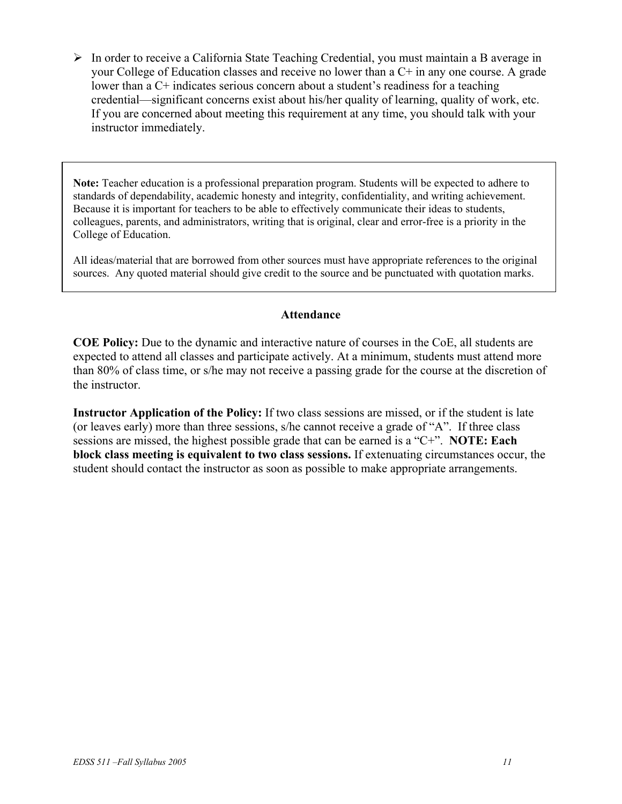$\triangleright$  In order to receive a California State Teaching Credential, you must maintain a B average in your College of Education classes and receive no lower than a C+ in any one course. A grade lower than a C+ indicates serious concern about a student's readiness for a teaching credential—significant concerns exist about his/her quality of learning, quality of work, etc. If you are concerned about meeting this requirement at any time, you should talk with your instructor immediately.

**Note:** Teacher education is a professional preparation program. Students will be expected to adhere to standards of dependability, academic honesty and integrity, confidentiality, and writing achievement. Because it is important for teachers to be able to effectively communicate their ideas to students, colleagues, parents, and administrators, writing that is original, clear and error-free is a priority in the College of Education.

All ideas/material that are borrowed from other sources must have appropriate references to the original sources. Any quoted material should give credit to the source and be punctuated with quotation marks.

#### **Attendance**

**COE Policy:** Due to the dynamic and interactive nature of courses in the CoE, all students are expected to attend all classes and participate actively. At a minimum, students must attend more than 80% of class time, or s/he may not receive a passing grade for the course at the discretion of the instructor.

**Instructor Application of the Policy:** If two class sessions are missed, or if the student is late (or leaves early) more than three sessions, s/he cannot receive a grade of "A". If three class sessions are missed, the highest possible grade that can be earned is a "C+". **NOTE: Each block class meeting is equivalent to two class sessions.** If extenuating circumstances occur, the student should contact the instructor as soon as possible to make appropriate arrangements.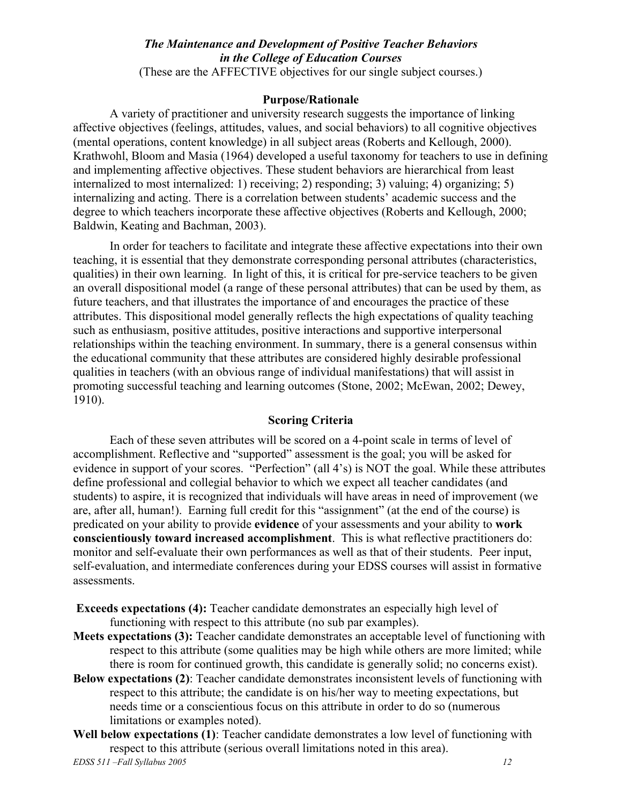#### *The Maintenance and Development of Positive Teacher Behaviors in the College of Education Courses*  (These are the AFFECTIVE objectives for our single subject courses.)

#### **Purpose/Rationale**

A variety of practitioner and university research suggests the importance of linking affective objectives (feelings, attitudes, values, and social behaviors) to all cognitive objectives (mental operations, content knowledge) in all subject areas (Roberts and Kellough, 2000). Krathwohl, Bloom and Masia (1964) developed a useful taxonomy for teachers to use in defining and implementing affective objectives. These student behaviors are hierarchical from least internalized to most internalized: 1) receiving; 2) responding; 3) valuing; 4) organizing; 5) internalizing and acting. There is a correlation between students' academic success and the degree to which teachers incorporate these affective objectives (Roberts and Kellough, 2000; Baldwin, Keating and Bachman, 2003).

In order for teachers to facilitate and integrate these affective expectations into their own teaching, it is essential that they demonstrate corresponding personal attributes (characteristics, qualities) in their own learning. In light of this, it is critical for pre-service teachers to be given an overall dispositional model (a range of these personal attributes) that can be used by them, as future teachers, and that illustrates the importance of and encourages the practice of these attributes. This dispositional model generally reflects the high expectations of quality teaching such as enthusiasm, positive attitudes, positive interactions and supportive interpersonal relationships within the teaching environment. In summary, there is a general consensus within the educational community that these attributes are considered highly desirable professional qualities in teachers (with an obvious range of individual manifestations) that will assist in promoting successful teaching and learning outcomes (Stone, 2002; McEwan, 2002; Dewey, 1910).

#### **Scoring Criteria**

Each of these seven attributes will be scored on a 4-point scale in terms of level of accomplishment. Reflective and "supported" assessment is the goal; you will be asked for evidence in support of your scores. "Perfection" (all 4's) is NOT the goal. While these attributes define professional and collegial behavior to which we expect all teacher candidates (and students) to aspire, it is recognized that individuals will have areas in need of improvement (we are, after all, human!). Earning full credit for this "assignment" (at the end of the course) is predicated on your ability to provide **evidence** of your assessments and your ability to **work conscientiously toward increased accomplishment**. This is what reflective practitioners do: monitor and self-evaluate their own performances as well as that of their students. Peer input, self-evaluation, and intermediate conferences during your EDSS courses will assist in formative assessments.

**Exceeds expectations (4):** Teacher candidate demonstrates an especially high level of functioning with respect to this attribute (no sub par examples).

- **Meets expectations (3):** Teacher candidate demonstrates an acceptable level of functioning with respect to this attribute (some qualities may be high while others are more limited; while there is room for continued growth, this candidate is generally solid; no concerns exist).
- **Below expectations (2)**: Teacher candidate demonstrates inconsistent levels of functioning with respect to this attribute; the candidate is on his/her way to meeting expectations, but needs time or a conscientious focus on this attribute in order to do so (numerous limitations or examples noted).
- **Well below expectations (1)**: Teacher candidate demonstrates a low level of functioning with respect to this attribute (serious overall limitations noted in this area).

*EDSS 511 –Fall Syllabus 2005 12*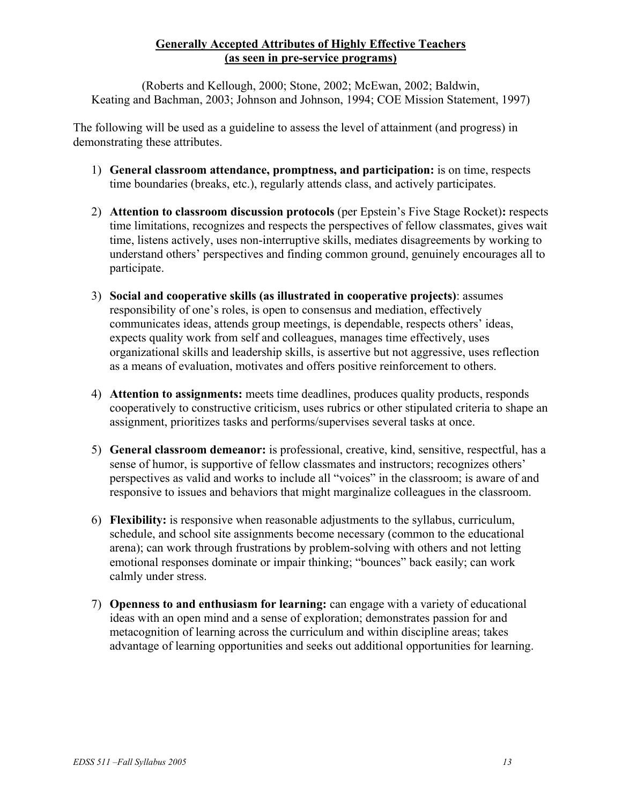#### **Generally Accepted Attributes of Highly Effective Teachers (as seen in pre-service programs)**

(Roberts and Kellough, 2000; Stone, 2002; McEwan, 2002; Baldwin, Keating and Bachman, 2003; Johnson and Johnson, 1994; COE Mission Statement, 1997)

The following will be used as a guideline to assess the level of attainment (and progress) in demonstrating these attributes.

- 1) **General classroom attendance, promptness, and participation:** is on time, respects time boundaries (breaks, etc.), regularly attends class, and actively participates.
- 2) **Attention to classroom discussion protocols** (per Epstein's Five Stage Rocket)**:** respects time limitations, recognizes and respects the perspectives of fellow classmates, gives wait time, listens actively, uses non-interruptive skills, mediates disagreements by working to understand others' perspectives and finding common ground, genuinely encourages all to participate.
- 3) **Social and cooperative skills (as illustrated in cooperative projects)**: assumes responsibility of one's roles, is open to consensus and mediation, effectively communicates ideas, attends group meetings, is dependable, respects others' ideas, expects quality work from self and colleagues, manages time effectively, uses organizational skills and leadership skills, is assertive but not aggressive, uses reflection as a means of evaluation, motivates and offers positive reinforcement to others.
- 4) **Attention to assignments:** meets time deadlines, produces quality products, responds cooperatively to constructive criticism, uses rubrics or other stipulated criteria to shape an assignment, prioritizes tasks and performs/supervises several tasks at once.
- 5) **General classroom demeanor:** is professional, creative, kind, sensitive, respectful, has a sense of humor, is supportive of fellow classmates and instructors; recognizes others' perspectives as valid and works to include all "voices" in the classroom; is aware of and responsive to issues and behaviors that might marginalize colleagues in the classroom.
- 6) **Flexibility:** is responsive when reasonable adjustments to the syllabus, curriculum, schedule, and school site assignments become necessary (common to the educational arena); can work through frustrations by problem-solving with others and not letting emotional responses dominate or impair thinking; "bounces" back easily; can work calmly under stress.
- 7) **Openness to and enthusiasm for learning:** can engage with a variety of educational ideas with an open mind and a sense of exploration; demonstrates passion for and metacognition of learning across the curriculum and within discipline areas; takes advantage of learning opportunities and seeks out additional opportunities for learning.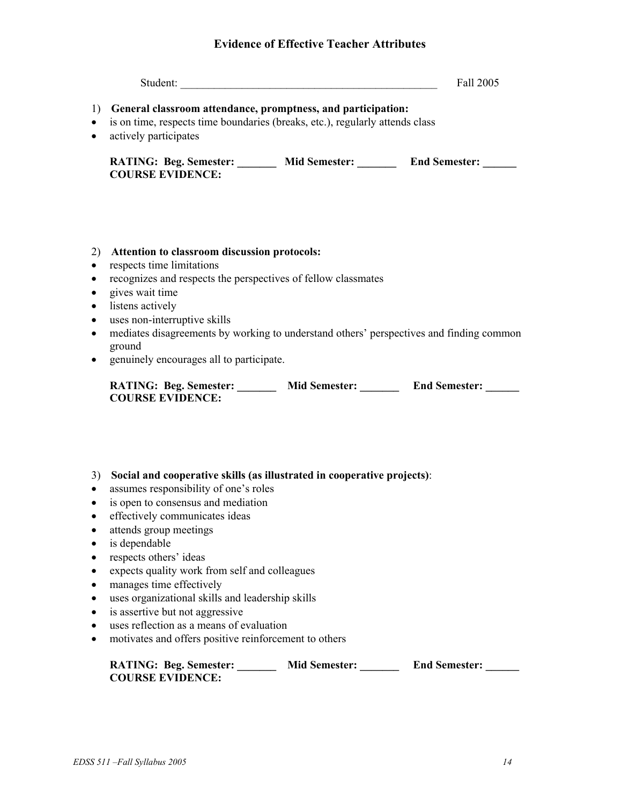#### **Evidence of Effective Teacher Attributes**

| Student: | Fall 2005 |
|----------|-----------|
|----------|-----------|

- 1) **General classroom attendance, promptness, and participation:**
- is on time, respects time boundaries (breaks, etc.), regularly attends class
- actively participates

| <b>RATING: Beg. Semester:</b> | <b>Mid Semester:</b> | <b>End Semester:</b> |
|-------------------------------|----------------------|----------------------|
| <b>COURSE EVIDENCE:</b>       |                      |                      |

#### 2) **Attention to classroom discussion protocols:**

- respects time limitations
- recognizes and respects the perspectives of fellow classmates
- gives wait time
- listens actively
- uses non-interruptive skills
- mediates disagreements by working to understand others' perspectives and finding common ground
- genuinely encourages all to participate.

| <b>RATING: Beg. Semester:</b> | <b>Mid Semester:</b> | <b>End Semester:</b> |
|-------------------------------|----------------------|----------------------|
| <b>COURSE EVIDENCE:</b>       |                      |                      |

- 3) **Social and cooperative skills (as illustrated in cooperative projects)**:
- assumes responsibility of one's roles
- is open to consensus and mediation
- effectively communicates ideas
- attends group meetings
- is dependable
- respects others' ideas
- expects quality work from self and colleagues
- manages time effectively
- uses organizational skills and leadership skills
- is assertive but not aggressive
- uses reflection as a means of evaluation
- motivates and offers positive reinforcement to others

| <b>RATING: Beg. Semester:</b> | <b>Mid Semester:</b> | <b>End Semester:</b> |
|-------------------------------|----------------------|----------------------|
| <b>COURSE EVIDENCE:</b>       |                      |                      |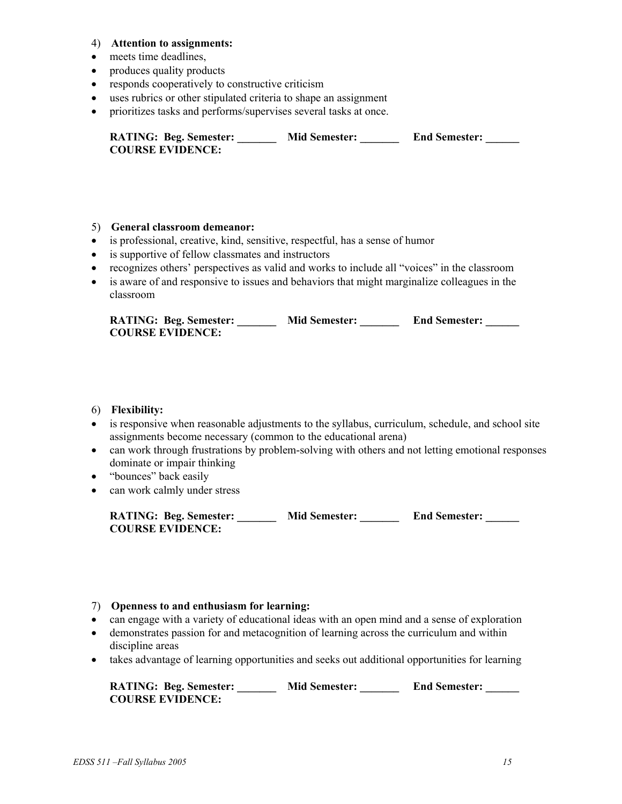#### 4) **Attention to assignments:**

- meets time deadlines,
- produces quality products
- responds cooperatively to constructive criticism
- uses rubrics or other stipulated criteria to shape an assignment
- prioritizes tasks and performs/supervises several tasks at once.

| <b>RATING: Beg. Semester:</b> | <b>Mid Semester:</b> | <b>End Semester:</b> |
|-------------------------------|----------------------|----------------------|
| <b>COURSE EVIDENCE:</b>       |                      |                      |

#### 5) **General classroom demeanor:**

- is professional, creative, kind, sensitive, respectful, has a sense of humor
- is supportive of fellow classmates and instructors
- recognizes others' perspectives as valid and works to include all "voices" in the classroom
- is aware of and responsive to issues and behaviors that might marginalize colleagues in the classroom

| <b>RATING: Beg. Semester:</b> | <b>Mid Semester:</b> | <b>End Semester:</b> |
|-------------------------------|----------------------|----------------------|
| <b>COURSE EVIDENCE:</b>       |                      |                      |

#### 6) **Flexibility:**

- is responsive when reasonable adjustments to the syllabus, curriculum, schedule, and school site assignments become necessary (common to the educational arena)
- can work through frustrations by problem-solving with others and not letting emotional responses dominate or impair thinking
- "bounces" back easily
- can work calmly under stress

| <b>RATING: Beg. Semester:</b> | <b>Mid Semester:</b> | <b>End Semester:</b> |
|-------------------------------|----------------------|----------------------|
| <b>COURSE EVIDENCE:</b>       |                      |                      |

#### 7) **Openness to and enthusiasm for learning:**

- can engage with a variety of educational ideas with an open mind and a sense of exploration
- demonstrates passion for and metacognition of learning across the curriculum and within discipline areas
- takes advantage of learning opportunities and seeks out additional opportunities for learning

**RATING: Beg. Semester:** Mid Semester: End Semester: **COURSE EVIDENCE:**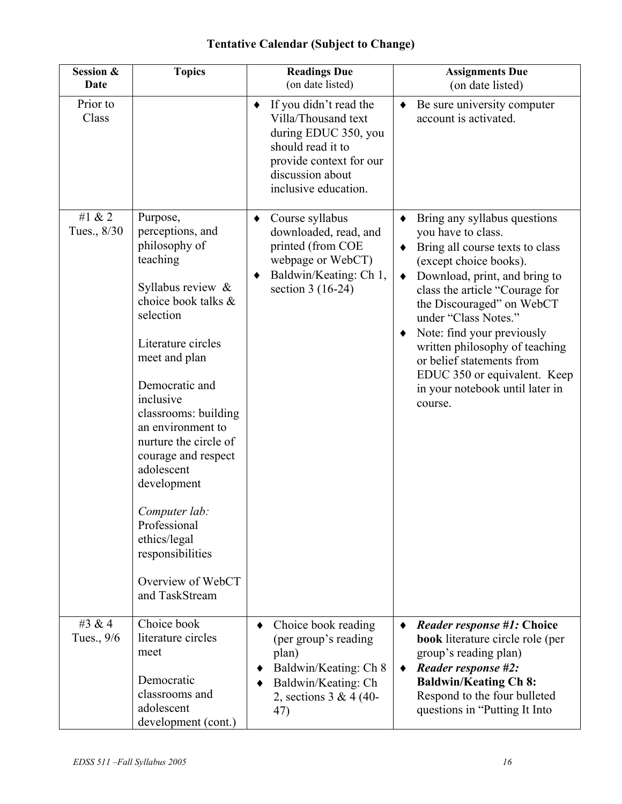### **Tentative Calendar (Subject to Change)**

| Session &<br><b>Date</b> | <b>Topics</b>                                                                                                                                                                                                                                                                                                                                                                                                                     | <b>Readings Due</b><br>(on date listed)                                                                                                                                | <b>Assignments Due</b><br>(on date listed)                                                                                                                                                                                                                                                                                                                                                                                           |
|--------------------------|-----------------------------------------------------------------------------------------------------------------------------------------------------------------------------------------------------------------------------------------------------------------------------------------------------------------------------------------------------------------------------------------------------------------------------------|------------------------------------------------------------------------------------------------------------------------------------------------------------------------|--------------------------------------------------------------------------------------------------------------------------------------------------------------------------------------------------------------------------------------------------------------------------------------------------------------------------------------------------------------------------------------------------------------------------------------|
| Prior to<br>Class        |                                                                                                                                                                                                                                                                                                                                                                                                                                   | If you didn't read the<br>٠<br>Villa/Thousand text<br>during EDUC 350, you<br>should read it to<br>provide context for our<br>discussion about<br>inclusive education. | Be sure university computer<br>account is activated.                                                                                                                                                                                                                                                                                                                                                                                 |
| #1 & 2<br>Tues., 8/30    | Purpose,<br>perceptions, and<br>philosophy of<br>teaching<br>Syllabus review $\&$<br>choice book talks &<br>selection<br>Literature circles<br>meet and plan<br>Democratic and<br>inclusive<br>classrooms: building<br>an environment to<br>nurture the circle of<br>courage and respect<br>adolescent<br>development<br>Computer lab:<br>Professional<br>ethics/legal<br>responsibilities<br>Overview of WebCT<br>and TaskStream | Course syllabus<br>٠<br>downloaded, read, and<br>printed (from COE<br>webpage or WebCT)<br>Baldwin/Keating: Ch 1,<br>٠<br>section $3(16-24)$                           | Bring any syllabus questions<br>you have to class.<br>Bring all course texts to class<br>$\bullet$<br>(except choice books).<br>Download, print, and bring to<br>٠<br>class the article "Courage for<br>the Discouraged" on WebCT<br>under "Class Notes."<br>Note: find your previously<br>written philosophy of teaching<br>or belief statements from<br>EDUC 350 or equivalent. Keep<br>in your notebook until later in<br>course. |
| #3 & 4<br>Tues., 9/6     | Choice book<br>literature circles<br>meet<br>Democratic<br>classrooms and<br>adolescent<br>development (cont.)                                                                                                                                                                                                                                                                                                                    | Choice book reading<br>(per group's reading<br>plan)<br>Baldwin/Keating: Ch 8<br>Baldwin/Keating: Ch<br>2, sections $3 & 4 (40 -$<br>47)                               | <i>Reader response</i> #1: Choice<br>٠<br><b>book</b> literature circle role (per<br>group's reading plan)<br><b>Reader response #2:</b><br>٠<br><b>Baldwin/Keating Ch 8:</b><br>Respond to the four bulleted<br>questions in "Putting It Into                                                                                                                                                                                       |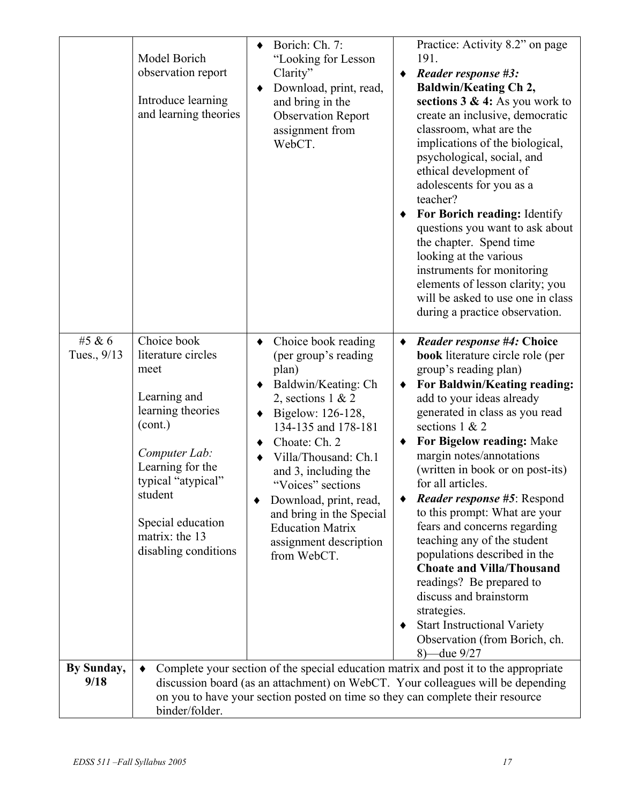|                       | Model Borich<br>observation report<br>Introduce learning<br>and learning theories                                                                                                                                              | Borich: Ch. 7:<br>$\bullet$<br>"Looking for Lesson<br>Clarity"<br>Download, print, read,<br>and bring in the<br><b>Observation Report</b><br>assignment from<br>WebCT.                                                                                                                                                                                              | Practice: Activity 8.2" on page<br>191.<br>Reader response #3:<br><b>Baldwin/Keating Ch 2,</b><br>sections $3 \& 4$ : As you work to<br>create an inclusive, democratic<br>classroom, what are the<br>implications of the biological,<br>psychological, social, and<br>ethical development of<br>adolescents for you as a<br>teacher?<br>For Borich reading: Identify<br>questions you want to ask about<br>the chapter. Spend time<br>looking at the various<br>instruments for monitoring<br>elements of lesson clarity; you<br>will be asked to use one in class<br>during a practice observation.                                                                                                                          |
|-----------------------|--------------------------------------------------------------------------------------------------------------------------------------------------------------------------------------------------------------------------------|---------------------------------------------------------------------------------------------------------------------------------------------------------------------------------------------------------------------------------------------------------------------------------------------------------------------------------------------------------------------|--------------------------------------------------------------------------------------------------------------------------------------------------------------------------------------------------------------------------------------------------------------------------------------------------------------------------------------------------------------------------------------------------------------------------------------------------------------------------------------------------------------------------------------------------------------------------------------------------------------------------------------------------------------------------------------------------------------------------------|
| #5 & 6<br>Tues., 9/13 | Choice book<br>literature circles<br>meet<br>Learning and<br>learning theories<br>(cont.)<br>Computer Lab:<br>Learning for the<br>typical "atypical"<br>student<br>Special education<br>matrix: the 13<br>disabling conditions | Choice book reading<br>٠<br>(per group's reading<br>plan)<br>Baldwin/Keating: Ch<br>2, sections $1 & 2$<br>Bigelow: 126-128,<br>134-135 and 178-181<br>Choate: Ch. 2<br>Villa/Thousand: Ch.1<br>and 3, including the<br>"Voices" sections<br>Download, print, read,<br>and bring in the Special<br><b>Education Matrix</b><br>assignment description<br>from WebCT. | <i>Reader response</i> #4: Choice<br>٠<br>book literature circle role (per<br>group's reading plan)<br>For Baldwin/Keating reading:<br>٠<br>add to your ideas already<br>generated in class as you read<br>sections 1 & 2<br>For Bigelow reading: Make<br>٠<br>margin notes/annotations<br>(written in book or on post-its)<br>for all articles.<br><i>Reader response</i> #5: Respond<br>to this prompt: What are your<br>fears and concerns regarding<br>teaching any of the student<br>populations described in the<br><b>Choate and Villa/Thousand</b><br>readings? Be prepared to<br>discuss and brainstorm<br>strategies.<br><b>Start Instructional Variety</b><br>٠<br>Observation (from Borich, ch.<br>$8$ –due $9/27$ |
| By Sunday,<br>9/18    | binder/folder.                                                                                                                                                                                                                 |                                                                                                                                                                                                                                                                                                                                                                     | Complete your section of the special education matrix and post it to the appropriate<br>discussion board (as an attachment) on WebCT. Your colleagues will be depending<br>on you to have your section posted on time so they can complete their resource                                                                                                                                                                                                                                                                                                                                                                                                                                                                      |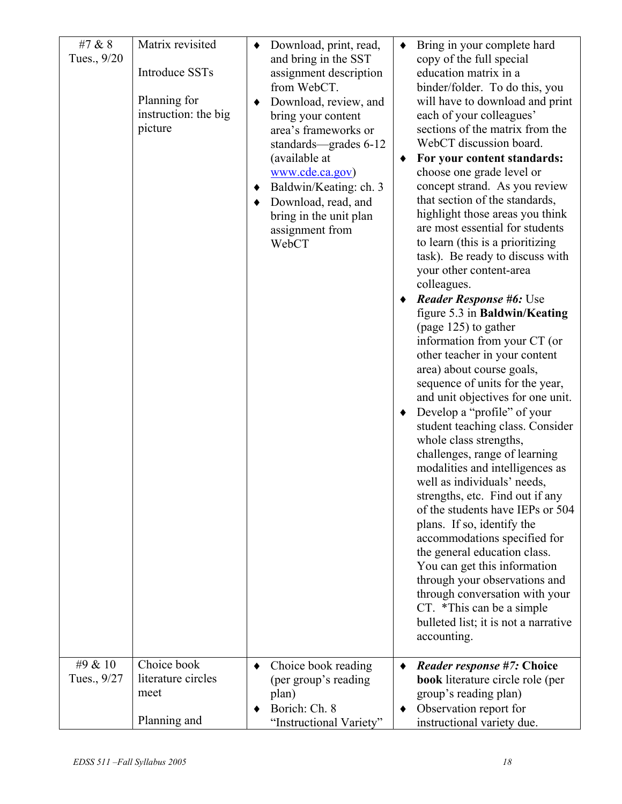| #7 & 8<br>Tues., 9/20<br>#9 & 10 | Matrix revisited<br><b>Introduce SSTs</b><br>Planning for<br>instruction: the big<br>picture<br>Choice book | Download, print, read,<br>٠<br>and bring in the SST<br>assignment description<br>from WebCT.<br>Download, review, and<br>٠<br>bring your content<br>area's frameworks or<br>standards—grades 6-12<br>(available at<br>www.cde.ca.gov)<br>Baldwin/Keating: ch. 3<br>٠<br>Download, read, and<br>٠<br>bring in the unit plan<br>assignment from<br>WebCT | ٠<br>٠<br>٠<br>٠ | Bring in your complete hard<br>copy of the full special<br>education matrix in a<br>binder/folder. To do this, you<br>will have to download and print<br>each of your colleagues'<br>sections of the matrix from the<br>WebCT discussion board.<br>For your content standards:<br>choose one grade level or<br>concept strand. As you review<br>that section of the standards,<br>highlight those areas you think<br>are most essential for students<br>to learn (this is a prioritizing<br>task). Be ready to discuss with<br>your other content-area<br>colleagues.<br>Reader Response #6: Use<br>figure 5.3 in Baldwin/Keating<br>(page 125) to gather<br>information from your CT (or<br>other teacher in your content<br>area) about course goals,<br>sequence of units for the year,<br>and unit objectives for one unit.<br>Develop a "profile" of your<br>student teaching class. Consider<br>whole class strengths,<br>challenges, range of learning<br>modalities and intelligences as<br>well as individuals' needs,<br>strengths, etc. Find out if any<br>of the students have IEPs or 504<br>plans. If so, identify the<br>accommodations specified for<br>the general education class.<br>You can get this information<br>through your observations and<br>through conversation with your<br>CT. *This can be a simple<br>bulleted list; it is not a narrative<br>accounting. |
|----------------------------------|-------------------------------------------------------------------------------------------------------------|--------------------------------------------------------------------------------------------------------------------------------------------------------------------------------------------------------------------------------------------------------------------------------------------------------------------------------------------------------|------------------|---------------------------------------------------------------------------------------------------------------------------------------------------------------------------------------------------------------------------------------------------------------------------------------------------------------------------------------------------------------------------------------------------------------------------------------------------------------------------------------------------------------------------------------------------------------------------------------------------------------------------------------------------------------------------------------------------------------------------------------------------------------------------------------------------------------------------------------------------------------------------------------------------------------------------------------------------------------------------------------------------------------------------------------------------------------------------------------------------------------------------------------------------------------------------------------------------------------------------------------------------------------------------------------------------------------------------------------------------------------------------------------------|
| Tues., 9/27                      | literature circles<br>meet<br>Planning and                                                                  | Choice book reading<br>٠<br>(per group's reading<br>plan)<br>Borich: Ch. 8<br>"Instructional Variety"                                                                                                                                                                                                                                                  | ٠                | <i>Reader response</i> #7: Choice<br><b>book</b> literature circle role (per<br>group's reading plan)<br>Observation report for<br>instructional variety due.                                                                                                                                                                                                                                                                                                                                                                                                                                                                                                                                                                                                                                                                                                                                                                                                                                                                                                                                                                                                                                                                                                                                                                                                                               |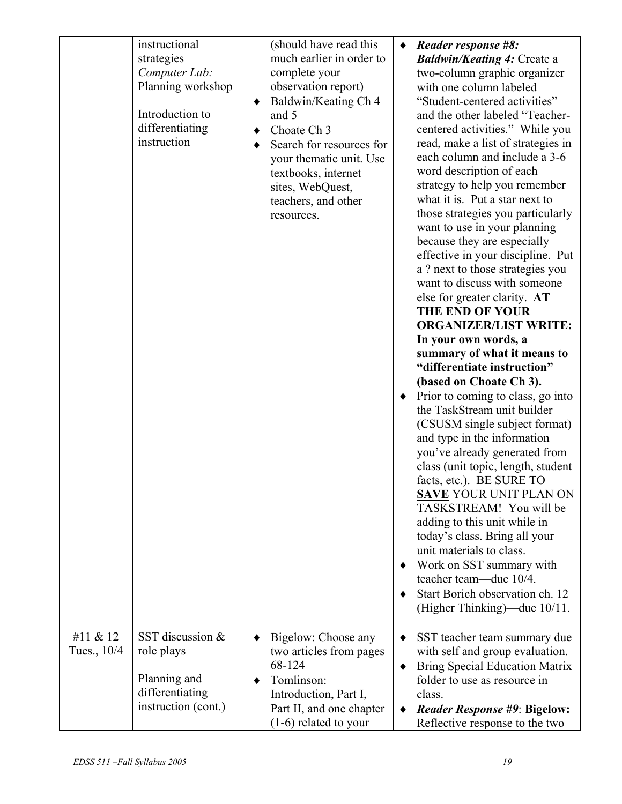|                         | instructional<br>strategies<br>Computer Lab:<br>Planning workshop<br>Introduction to<br>differentiating<br>instruction | (should have read this<br>much earlier in order to<br>complete your<br>observation report)<br>Baldwin/Keating Ch 4<br>٠<br>and 5<br>Choate Ch <sub>3</sub><br>٠<br>Search for resources for<br>٠<br>your thematic unit. Use<br>textbooks, internet<br>sites, WebQuest,<br>teachers, and other<br>resources. | $\bullet$<br>٠<br>٠<br>٠ | Reader response #8:<br><b>Baldwin/Keating 4: Create a</b><br>two-column graphic organizer<br>with one column labeled<br>"Student-centered activities"<br>and the other labeled "Teacher-<br>centered activities." While you<br>read, make a list of strategies in<br>each column and include a 3-6<br>word description of each<br>strategy to help you remember<br>what it is. Put a star next to<br>those strategies you particularly<br>want to use in your planning<br>because they are especially<br>effective in your discipline. Put<br>a ? next to those strategies you<br>want to discuss with someone<br>else for greater clarity. AT<br><b>THE END OF YOUR</b><br><b>ORGANIZER/LIST WRITE:</b><br>In your own words, a<br>summary of what it means to<br>"differentiate instruction"<br>(based on Choate Ch 3).<br>Prior to coming to class, go into<br>the TaskStream unit builder<br>(CSUSM single subject format)<br>and type in the information<br>you've already generated from<br>class (unit topic, length, student<br>facts, etc.). BE SURE TO<br><b>SAVE YOUR UNIT PLAN ON</b><br>TASKSTREAM! You will be<br>adding to this unit while in<br>today's class. Bring all your<br>unit materials to class.<br>Work on SST summary with<br>teacher team—due 10/4.<br>Start Borich observation ch. 12<br>(Higher Thinking)—due 10/11. |
|-------------------------|------------------------------------------------------------------------------------------------------------------------|-------------------------------------------------------------------------------------------------------------------------------------------------------------------------------------------------------------------------------------------------------------------------------------------------------------|--------------------------|----------------------------------------------------------------------------------------------------------------------------------------------------------------------------------------------------------------------------------------------------------------------------------------------------------------------------------------------------------------------------------------------------------------------------------------------------------------------------------------------------------------------------------------------------------------------------------------------------------------------------------------------------------------------------------------------------------------------------------------------------------------------------------------------------------------------------------------------------------------------------------------------------------------------------------------------------------------------------------------------------------------------------------------------------------------------------------------------------------------------------------------------------------------------------------------------------------------------------------------------------------------------------------------------------------------------------------------------------|
| #11 & 12<br>Tues., 10/4 | SST discussion &<br>role plays<br>Planning and<br>differentiating<br>instruction (cont.)                               | Bigelow: Choose any<br>٠<br>two articles from pages<br>68-124<br>Tomlinson:<br>٠<br>Introduction, Part I,<br>Part II, and one chapter<br>$(1-6)$ related to your                                                                                                                                            | ٠<br>٠                   | SST teacher team summary due<br>with self and group evaluation.<br><b>Bring Special Education Matrix</b><br>folder to use as resource in<br>class.<br><b>Reader Response #9: Bigelow:</b><br>Reflective response to the two                                                                                                                                                                                                                                                                                                                                                                                                                                                                                                                                                                                                                                                                                                                                                                                                                                                                                                                                                                                                                                                                                                                        |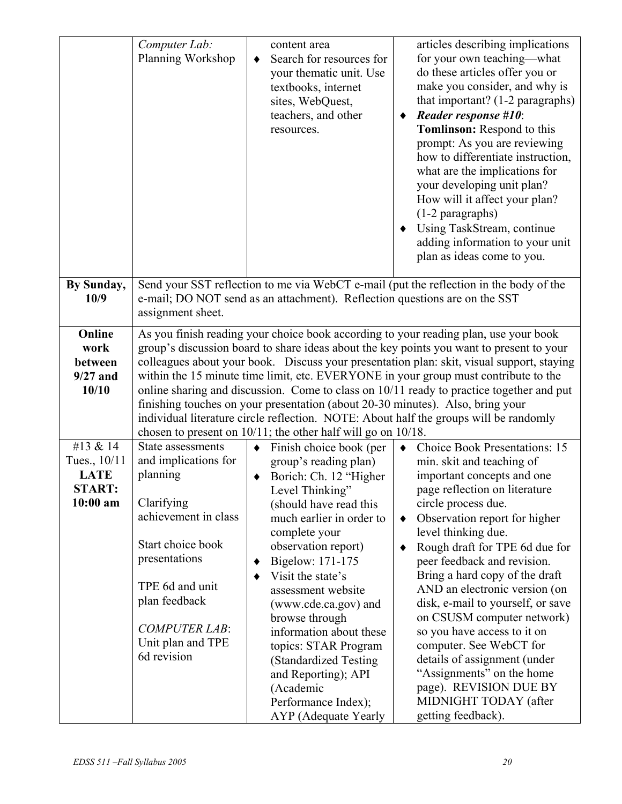|                                                                        | Computer Lab:<br>Planning Workshop                                                                                                                                                                                                                                                                                                                                                                                                                                                                                                                                                                                                                                                                          | content area<br>Search for resources for<br>$\bullet$<br>your thematic unit. Use<br>textbooks, internet<br>sites, WebQuest,<br>teachers, and other<br>resources.                                                                                                                                                                                                                                                                                                                                | articles describing implications<br>for your own teaching—what<br>do these articles offer you or<br>make you consider, and why is<br>that important? (1-2 paragraphs)<br><b>Reader response #10:</b><br>Tomlinson: Respond to this<br>prompt: As you are reviewing<br>how to differentiate instruction,<br>what are the implications for<br>your developing unit plan?<br>How will it affect your plan?<br>$(1-2$ paragraphs)<br>Using TaskStream, continue<br>adding information to your unit<br>plan as ideas come to you.                                                                                                              |
|------------------------------------------------------------------------|-------------------------------------------------------------------------------------------------------------------------------------------------------------------------------------------------------------------------------------------------------------------------------------------------------------------------------------------------------------------------------------------------------------------------------------------------------------------------------------------------------------------------------------------------------------------------------------------------------------------------------------------------------------------------------------------------------------|-------------------------------------------------------------------------------------------------------------------------------------------------------------------------------------------------------------------------------------------------------------------------------------------------------------------------------------------------------------------------------------------------------------------------------------------------------------------------------------------------|-------------------------------------------------------------------------------------------------------------------------------------------------------------------------------------------------------------------------------------------------------------------------------------------------------------------------------------------------------------------------------------------------------------------------------------------------------------------------------------------------------------------------------------------------------------------------------------------------------------------------------------------|
| By Sunday,<br>10/9                                                     | Send your SST reflection to me via WebCT e-mail (put the reflection in the body of the<br>e-mail; DO NOT send as an attachment). Reflection questions are on the SST<br>assignment sheet.                                                                                                                                                                                                                                                                                                                                                                                                                                                                                                                   |                                                                                                                                                                                                                                                                                                                                                                                                                                                                                                 |                                                                                                                                                                                                                                                                                                                                                                                                                                                                                                                                                                                                                                           |
| Online<br>work<br>between<br>$9/27$ and<br>10/10                       | As you finish reading your choice book according to your reading plan, use your book<br>group's discussion board to share ideas about the key points you want to present to your<br>colleagues about your book. Discuss your presentation plan: skit, visual support, staying<br>within the 15 minute time limit, etc. EVERYONE in your group must contribute to the<br>online sharing and discussion. Come to class on 10/11 ready to practice together and put<br>finishing touches on your presentation (about 20-30 minutes). Also, bring your<br>individual literature circle reflection. NOTE: About half the groups will be randomly<br>chosen to present on 10/11; the other half will go on 10/18. |                                                                                                                                                                                                                                                                                                                                                                                                                                                                                                 |                                                                                                                                                                                                                                                                                                                                                                                                                                                                                                                                                                                                                                           |
| #13 & 14<br>Tues., 10/11<br><b>LATE</b><br><b>START:</b><br>$10:00$ am | State assessments<br>and implications for<br>planning<br>Clarifying<br>achievement in class<br>Start choice book<br>presentations<br>TPE 6d and unit<br>plan feedback<br><b>COMPUTER LAB:</b><br>Unit plan and TPE<br>6d revision                                                                                                                                                                                                                                                                                                                                                                                                                                                                           | $\bullet$ Finish choice book (per<br>group's reading plan)<br>Borich: Ch. 12 "Higher<br>Level Thinking"<br>(should have read this<br>much earlier in order to<br>complete your<br>observation report)<br>Bigelow: 171-175<br>٠<br>Visit the state's<br>٠<br>assessment website<br>(www.cde.ca.gov) and<br>browse through<br>information about these<br>topics: STAR Program<br>(Standardized Testing)<br>and Reporting); API<br>(Academic<br>Performance Index);<br><b>AYP</b> (Adequate Yearly | • Choice Book Presentations: 15<br>min. skit and teaching of<br>important concepts and one<br>page reflection on literature<br>circle process due.<br>Observation report for higher<br>$\blacklozenge$<br>level thinking due.<br>Rough draft for TPE 6d due for<br>٠<br>peer feedback and revision.<br>Bring a hard copy of the draft<br>AND an electronic version (on<br>disk, e-mail to yourself, or save<br>on CSUSM computer network)<br>so you have access to it on<br>computer. See WebCT for<br>details of assignment (under<br>"Assignments" on the home<br>page). REVISION DUE BY<br>MIDNIGHT TODAY (after<br>getting feedback). |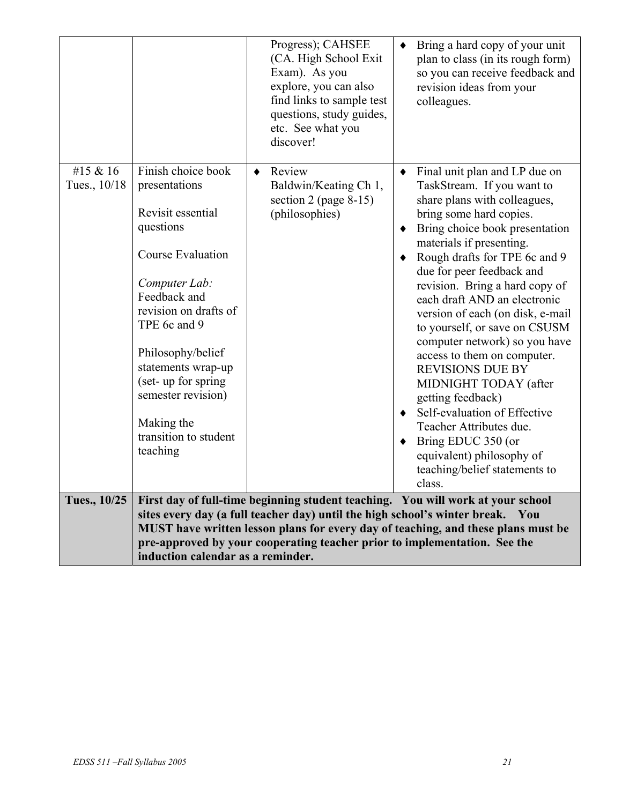|                          |                                                                                                                                                                                                                                                                                                                | Progress); CAHSEE<br>(CA. High School Exit)<br>Exam). As you<br>explore, you can also<br>find links to sample test<br>questions, study guides,<br>etc. See what you<br>discover! | Bring a hard copy of your unit<br>plan to class (in its rough form)<br>so you can receive feedback and<br>revision ideas from your<br>colleagues.                                                                                                                                                                                                                                                                                                                                                                                                                                                                                                                                                          |
|--------------------------|----------------------------------------------------------------------------------------------------------------------------------------------------------------------------------------------------------------------------------------------------------------------------------------------------------------|----------------------------------------------------------------------------------------------------------------------------------------------------------------------------------|------------------------------------------------------------------------------------------------------------------------------------------------------------------------------------------------------------------------------------------------------------------------------------------------------------------------------------------------------------------------------------------------------------------------------------------------------------------------------------------------------------------------------------------------------------------------------------------------------------------------------------------------------------------------------------------------------------|
| #15 & 16<br>Tues., 10/18 | Finish choice book<br>presentations<br>Revisit essential<br>questions<br>Course Evaluation<br>Computer Lab:<br>Feedback and<br>revision on drafts of<br>TPE 6c and 9<br>Philosophy/belief<br>statements wrap-up<br>(set-up for spring<br>semester revision)<br>Making the<br>transition to student<br>teaching | Review<br>٠<br>Baldwin/Keating Ch 1,<br>section 2 (page $8-15$ )<br>(philosophies)                                                                                               | Final unit plan and LP due on<br>٠<br>TaskStream. If you want to<br>share plans with colleagues,<br>bring some hard copies.<br>Bring choice book presentation<br>٠<br>materials if presenting.<br>Rough drafts for TPE 6c and 9<br>due for peer feedback and<br>revision. Bring a hard copy of<br>each draft AND an electronic<br>version of each (on disk, e-mail<br>to yourself, or save on CSUSM<br>computer network) so you have<br>access to them on computer.<br><b>REVISIONS DUE BY</b><br>MIDNIGHT TODAY (after<br>getting feedback)<br>Self-evaluation of Effective<br>٠<br>Teacher Attributes due.<br>Bring EDUC 350 (or<br>equivalent) philosophy of<br>teaching/belief statements to<br>class. |
| Tues., 10/25             | induction calendar as a reminder.                                                                                                                                                                                                                                                                              | sites every day (a full teacher day) until the high school's winter break.<br>pre-approved by your cooperating teacher prior to implementation. See the                          | First day of full-time beginning student teaching. You will work at your school<br>You<br>MUST have written lesson plans for every day of teaching, and these plans must be                                                                                                                                                                                                                                                                                                                                                                                                                                                                                                                                |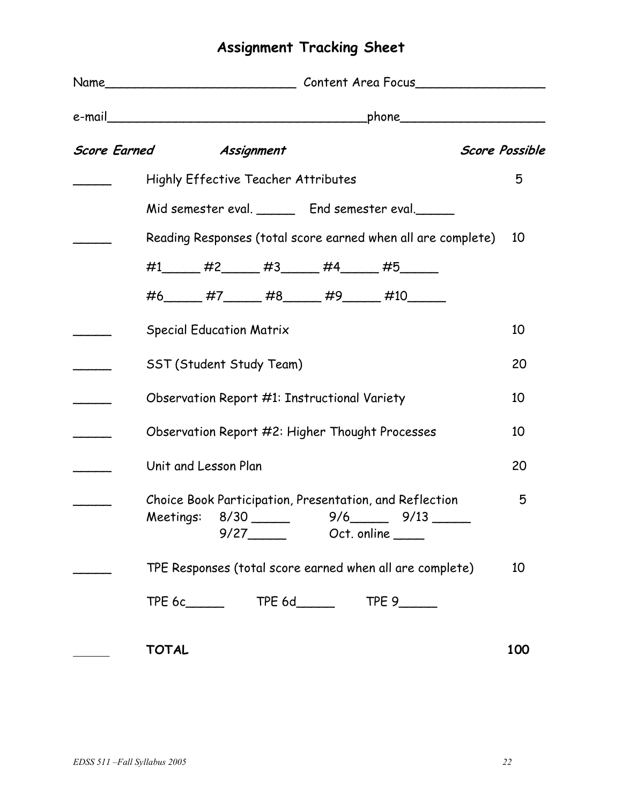# **Assignment Tracking Sheet**

| Score Earned Assignment                                      | <b>Score Possible</b> |
|--------------------------------------------------------------|-----------------------|
| <b>Highly Effective Teacher Attributes</b>                   | 5                     |
| Mid semester eval. ________ End semester eval.               |                       |
| Reading Responses (total score earned when all are complete) | 10                    |
| #1______ #2______ #3______ #4______ #5______                 |                       |
| #6______ #7______ #8______ #9______ #10______                |                       |
| <b>Special Education Matrix</b>                              | 10                    |
| SST (Student Study Team)                                     | 20                    |
| Observation Report #1: Instructional Variety                 | 10                    |
| Observation Report #2: Higher Thought Processes              | 10                    |
| Unit and Lesson Plan                                         | 20                    |
| Choice Book Participation, Presentation, and Reflection      | 5                     |
| TPE Responses (total score earned when all are complete)     | 10                    |
| TPE 6c_________  TPE 6d________  TPE 9_______                |                       |
| <b>TOTAL</b>                                                 | 100                   |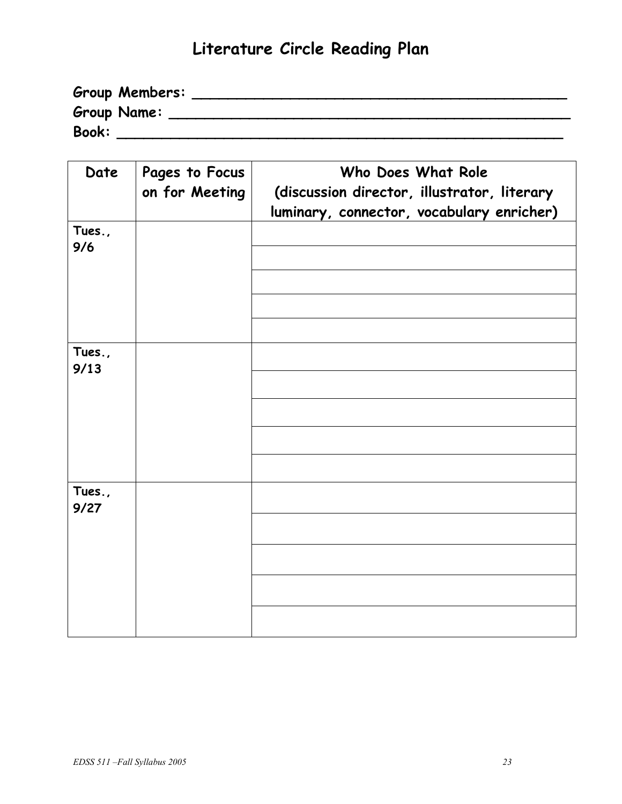# **Literature Circle Reading Plan**

| Group Members:     |  |
|--------------------|--|
| <b>Group Name:</b> |  |
| <b>Book:</b>       |  |

| Date   | Pages to Focus | Who Does What Role                          |  |  |
|--------|----------------|---------------------------------------------|--|--|
|        | on for Meeting | (discussion director, illustrator, literary |  |  |
|        |                | luminary, connector, vocabulary enricher)   |  |  |
| Tues., |                |                                             |  |  |
| 9/6    |                |                                             |  |  |
|        |                |                                             |  |  |
|        |                |                                             |  |  |
|        |                |                                             |  |  |
|        |                |                                             |  |  |
| Tues., |                |                                             |  |  |
| 9/13   |                |                                             |  |  |
|        |                |                                             |  |  |
|        |                |                                             |  |  |
|        |                |                                             |  |  |
|        |                |                                             |  |  |
| Tues., |                |                                             |  |  |
| 9/27   |                |                                             |  |  |
|        |                |                                             |  |  |
|        |                |                                             |  |  |
|        |                |                                             |  |  |
|        |                |                                             |  |  |
|        |                |                                             |  |  |
|        |                |                                             |  |  |